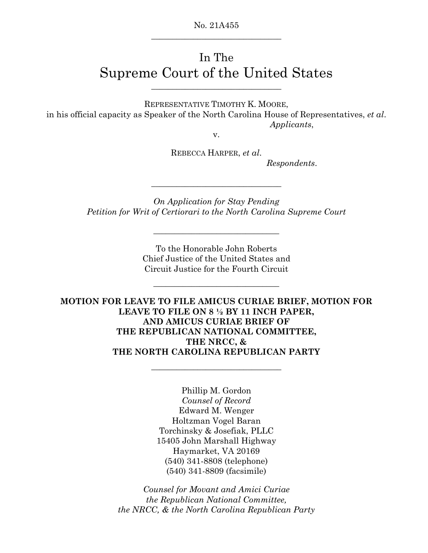No. 21A455 \_\_\_\_\_\_\_\_\_\_\_\_\_\_\_\_\_\_\_\_\_\_\_\_\_\_\_\_\_\_\_

# In The Supreme Court of the United States

REPRESENTATIVE TIMOTHY K. MOORE, in his official capacity as Speaker of the North Carolina House of Representatives, *et al*.  *Applicants*,

v.

REBECCA HARPER, *et al*.

 *Respondents*.

*On Application for Stay Pending Petition for Writ of Certiorari to the North Carolina Supreme Court* 

\_\_\_\_\_\_\_\_\_\_\_\_\_\_\_\_\_\_\_\_\_\_\_\_\_\_\_\_\_\_

\_\_\_\_\_\_\_\_\_\_\_\_\_\_\_\_\_\_\_\_\_\_\_\_\_\_\_\_\_\_\_

To the Honorable John Roberts Chief Justice of the United States and Circuit Justice for the Fourth Circuit

\_\_\_\_\_\_\_\_\_\_\_\_\_\_\_\_\_\_\_\_\_\_\_\_\_\_\_\_\_\_

**MOTION FOR LEAVE TO FILE AMICUS CURIAE BRIEF, MOTION FOR LEAVE TO FILE ON 8 ½ BY 11 INCH PAPER, AND AMICUS CURIAE BRIEF OF THE REPUBLICAN NATIONAL COMMITTEE, THE NRCC, & THE NORTH CAROLINA REPUBLICAN PARTY** 

**\_\_\_\_\_\_\_\_\_\_\_\_\_\_\_\_\_\_\_\_\_\_\_\_\_\_\_\_\_\_\_** 

Phillip M. Gordon *Counsel of Record* Edward M. Wenger Holtzman Vogel Baran Torchinsky & Josefiak, PLLC 15405 John Marshall Highway Haymarket, VA 20169 (540) 341-8808 (telephone) (540) 341-8809 (facsimile)

*Counsel for Movant and Amici Curiae the Republican National Committee, the NRCC, & the North Carolina Republican Party*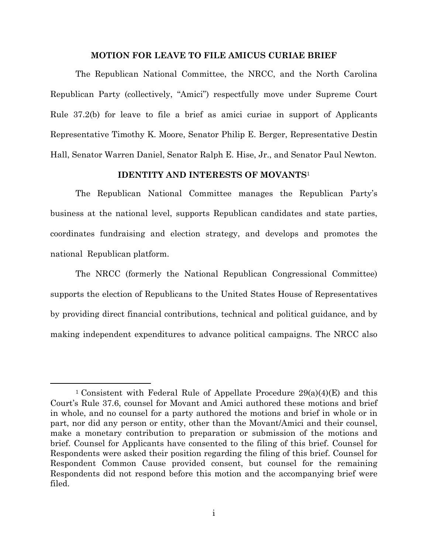## **MOTION FOR LEAVE TO FILE AMICUS CURIAE BRIEF**

The Republican National Committee, the NRCC, and the North Carolina Republican Party (collectively, "Amici") respectfully move under Supreme Court Rule 37.2(b) for leave to file a brief as amici curiae in support of Applicants Representative Timothy K. Moore, Senator Philip E. Berger, Representative Destin Hall, Senator Warren Daniel, Senator Ralph E. Hise, Jr., and Senator Paul Newton.

## **IDENTITY AND INTERESTS OF MOVANTS**<sup>1</sup>

The Republican National Committee manages the Republican Party's business at the national level, supports Republican candidates and state parties, coordinates fundraising and election strategy, and develops and promotes the national Republican platform.

The NRCC (formerly the National Republican Congressional Committee) supports the election of Republicans to the United States House of Representatives by providing direct financial contributions, technical and political guidance, and by making independent expenditures to advance political campaigns. The NRCC also

<sup>&</sup>lt;sup>1</sup> Consistent with Federal Rule of Appellate Procedure  $29(a)(4)(E)$  and this Court's Rule 37.6, counsel for Movant and Amici authored these motions and brief in whole, and no counsel for a party authored the motions and brief in whole or in part, nor did any person or entity, other than the Movant/Amici and their counsel, make a monetary contribution to preparation or submission of the motions and brief. Counsel for Applicants have consented to the filing of this brief. Counsel for Respondents were asked their position regarding the filing of this brief. Counsel for Respondent Common Cause provided consent, but counsel for the remaining Respondents did not respond before this motion and the accompanying brief were filed.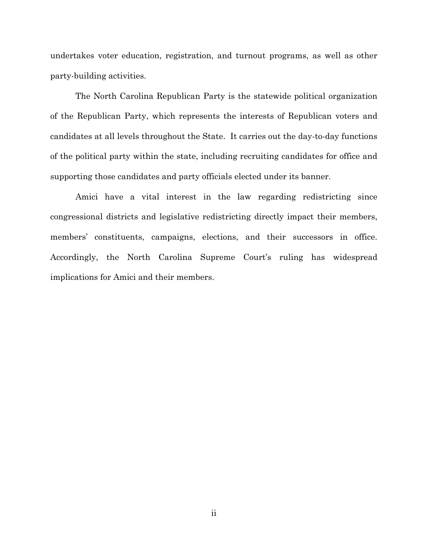undertakes voter education, registration, and turnout programs, as well as other party-building activities.

The North Carolina Republican Party is the statewide political organization of the Republican Party, which represents the interests of Republican voters and candidates at all levels throughout the State. It carries out the day-to-day functions of the political party within the state, including recruiting candidates for office and supporting those candidates and party officials elected under its banner.

Amici have a vital interest in the law regarding redistricting since congressional districts and legislative redistricting directly impact their members, members' constituents, campaigns, elections, and their successors in office. Accordingly, the North Carolina Supreme Court's ruling has widespread implications for Amici and their members.

ii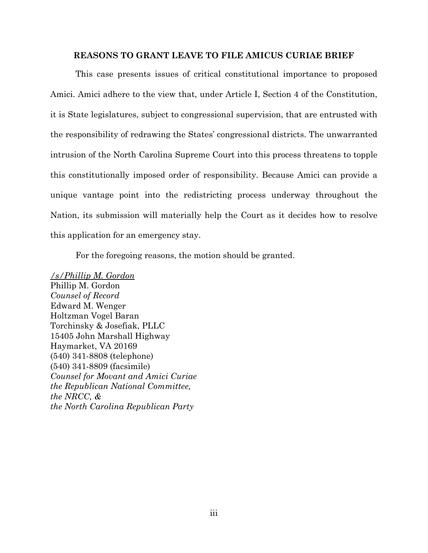#### **REASONS TO GRANT LEAVE TO FILE AMICUS CURIAE BRIEF**

This case presents issues of critical constitutional importance to proposed Amici. Amici adhere to the view that, under Article I, Section 4 of the Constitution, it is State legislatures, subject to congressional supervision, that are entrusted with the responsibility of redrawing the States' congressional districts. The unwarranted intrusion of the North Carolina Supreme Court into this process threatens to topple this constitutionally imposed order of responsibility. Because Amici can provide a unique vantage point into the redistricting process underway throughout the Nation, its submission will materially help the Court as it decides how to resolve this application for an emergency stay.

For the foregoing reasons, the motion should be granted.

*/s/Phillip M. Gordon*  Phillip M. Gordon *Counsel of Record* Edward M. Wenger Holtzman Vogel Baran Torchinsky & Josefiak, PLLC 15405 John Marshall Highway Haymarket, VA 20169 (540) 341-8808 (telephone) (540) 341-8809 (facsimile) *Counsel for Movant and Amici Curiae the Republican National Committee, the NRCC, & the North Carolina Republican Party*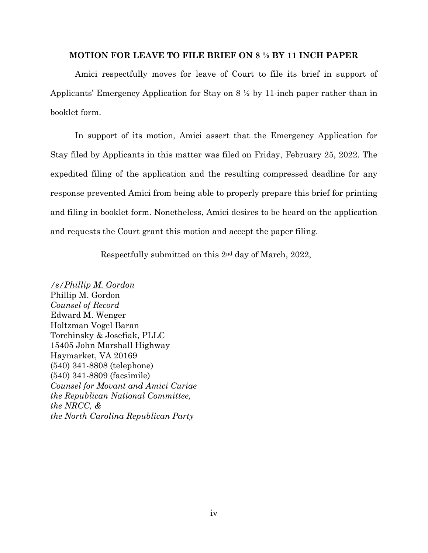#### **MOTION FOR LEAVE TO FILE BRIEF ON 8 ½ BY 11 INCH PAPER**

Amici respectfully moves for leave of Court to file its brief in support of Applicants' Emergency Application for Stay on 8 ½ by 11-inch paper rather than in booklet form.

In support of its motion, Amici assert that the Emergency Application for Stay filed by Applicants in this matter was filed on Friday, February 25, 2022. The expedited filing of the application and the resulting compressed deadline for any response prevented Amici from being able to properly prepare this brief for printing and filing in booklet form. Nonetheless, Amici desires to be heard on the application and requests the Court grant this motion and accept the paper filing.

Respectfully submitted on this 2nd day of March, 2022,

*/s/Phillip M. Gordon*  Phillip M. Gordon *Counsel of Record* Edward M. Wenger Holtzman Vogel Baran Torchinsky & Josefiak, PLLC 15405 John Marshall Highway Haymarket, VA 20169 (540) 341-8808 (telephone) (540) 341-8809 (facsimile) *Counsel for Movant and Amici Curiae the Republican National Committee, the NRCC, & the North Carolina Republican Party*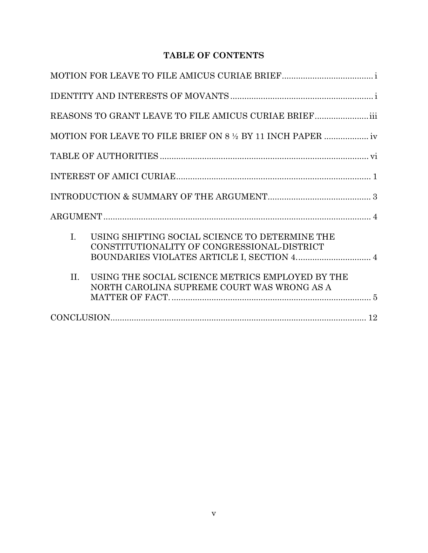# **TABLE OF CONTENTS**

| REASONS TO GRANT LEAVE TO FILE AMICUS CURIAE BRIEF                                                              |  |
|-----------------------------------------------------------------------------------------------------------------|--|
|                                                                                                                 |  |
|                                                                                                                 |  |
|                                                                                                                 |  |
|                                                                                                                 |  |
|                                                                                                                 |  |
| $\mathbf{I}$ .<br>USING SHIFTING SOCIAL SCIENCE TO DETERMINE THE<br>CONSTITUTIONALITY OF CONGRESSIONAL-DISTRICT |  |
| $\Pi$ .<br>USING THE SOCIAL SCIENCE METRICS EMPLOYED BY THE<br>NORTH CAROLINA SUPREME COURT WAS WRONG AS A      |  |
|                                                                                                                 |  |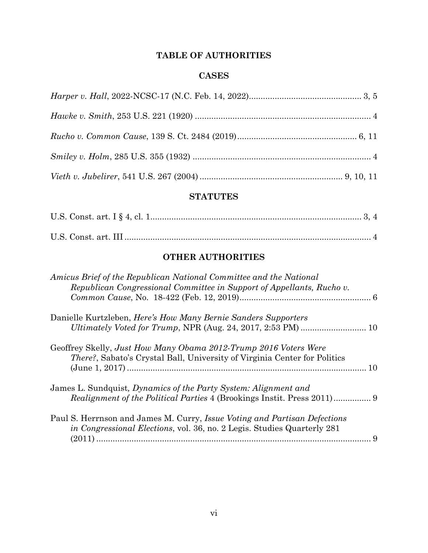# **TABLE OF AUTHORITIES**

# **CASES**

# **STATUTES**

# **OTHER AUTHORITIES**

| Amicus Brief of the Republican National Committee and the National<br>Republican Congressional Committee in Support of Appellants, Rucho v. |   |
|---------------------------------------------------------------------------------------------------------------------------------------------|---|
|                                                                                                                                             |   |
| Danielle Kurtzleben, Here's How Many Bernie Sanders Supporters                                                                              |   |
|                                                                                                                                             |   |
| Geoffrey Skelly, Just How Many Obama 2012-Trump 2016 Voters Were                                                                            |   |
| <i>There?</i> , Sabato's Crystal Ball, University of Virginia Center for Politics                                                           |   |
|                                                                                                                                             |   |
| James L. Sundquist, Dynamics of the Party System: Alignment and                                                                             |   |
|                                                                                                                                             |   |
| Paul S. Herrnson and James M. Curry, Issue Voting and Partisan Defections                                                                   |   |
| in Congressional Elections, vol. 36, no. 2 Legis. Studies Quarterly 281                                                                     |   |
|                                                                                                                                             | 9 |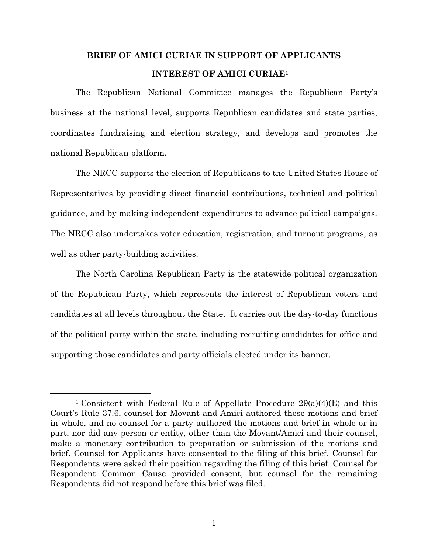# **BRIEF OF AMICI CURIAE IN SUPPORT OF APPLICANTS INTEREST OF AMICI CURIAE1**

The Republican National Committee manages the Republican Party's business at the national level, supports Republican candidates and state parties, coordinates fundraising and election strategy, and develops and promotes the national Republican platform.

The NRCC supports the election of Republicans to the United States House of Representatives by providing direct financial contributions, technical and political guidance, and by making independent expenditures to advance political campaigns. The NRCC also undertakes voter education, registration, and turnout programs, as well as other party-building activities.

The North Carolina Republican Party is the statewide political organization of the Republican Party, which represents the interest of Republican voters and candidates at all levels throughout the State. It carries out the day-to-day functions of the political party within the state, including recruiting candidates for office and supporting those candidates and party officials elected under its banner.

<sup>&</sup>lt;sup>1</sup> Consistent with Federal Rule of Appellate Procedure  $29(a)(4)(E)$  and this Court's Rule 37.6, counsel for Movant and Amici authored these motions and brief in whole, and no counsel for a party authored the motions and brief in whole or in part, nor did any person or entity, other than the Movant/Amici and their counsel, make a monetary contribution to preparation or submission of the motions and brief. Counsel for Applicants have consented to the filing of this brief. Counsel for Respondents were asked their position regarding the filing of this brief. Counsel for Respondent Common Cause provided consent, but counsel for the remaining Respondents did not respond before this brief was filed.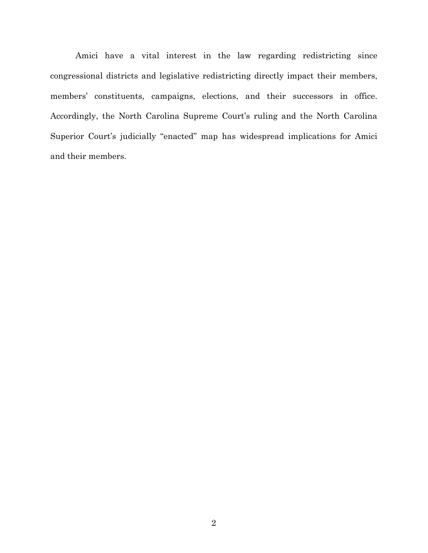Amici have a vital interest in the law regarding redistricting since congressional districts and legislative redistricting directly impact their members, members' constituents, campaigns, elections, and their successors in office. Accordingly, the North Carolina Supreme Court's ruling and the North Carolina Superior Court's judicially "enacted" map has widespread implications for Amici and their members.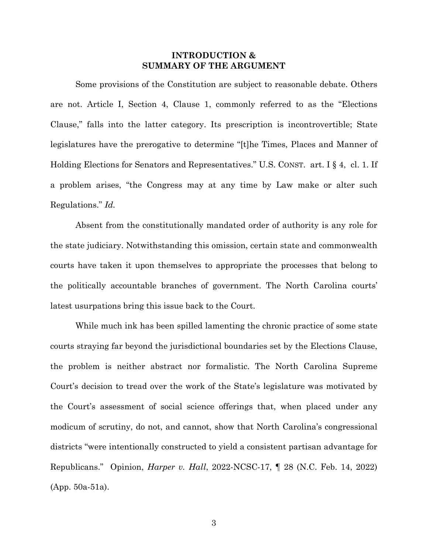## **INTRODUCTION & SUMMARY OF THE ARGUMENT**

Some provisions of the Constitution are subject to reasonable debate. Others are not. Article I, Section 4, Clause 1, commonly referred to as the "Elections Clause," falls into the latter category. Its prescription is incontrovertible; State legislatures have the prerogative to determine "[t]he Times, Places and Manner of Holding Elections for Senators and Representatives." U.S. CONST. art. I § 4, cl. 1. If a problem arises, "the Congress may at any time by Law make or alter such Regulations." *Id.* 

Absent from the constitutionally mandated order of authority is any role for the state judiciary. Notwithstanding this omission, certain state and commonwealth courts have taken it upon themselves to appropriate the processes that belong to the politically accountable branches of government. The North Carolina courts' latest usurpations bring this issue back to the Court.

While much ink has been spilled lamenting the chronic practice of some state courts straying far beyond the jurisdictional boundaries set by the Elections Clause, the problem is neither abstract nor formalistic. The North Carolina Supreme Court's decision to tread over the work of the State's legislature was motivated by the Court's assessment of social science offerings that, when placed under any modicum of scrutiny, do not, and cannot, show that North Carolina's congressional districts "were intentionally constructed to yield a consistent partisan advantage for Republicans." Opinion, *Harper v. Hall*, 2022-NCSC-17, ¶ 28 (N.C. Feb. 14, 2022) (App. 50a-51a).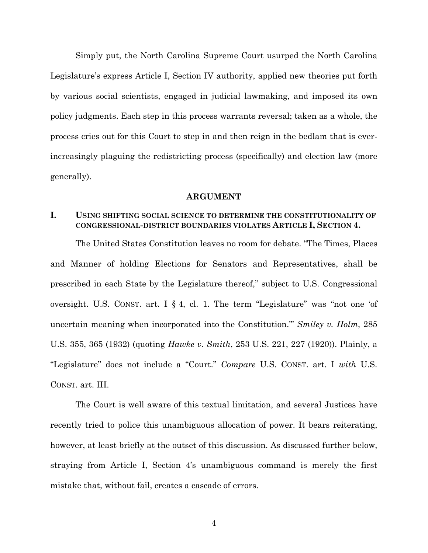Simply put, the North Carolina Supreme Court usurped the North Carolina Legislature's express Article I, Section IV authority, applied new theories put forth by various social scientists, engaged in judicial lawmaking, and imposed its own policy judgments. Each step in this process warrants reversal; taken as a whole, the process cries out for this Court to step in and then reign in the bedlam that is everincreasingly plaguing the redistricting process (specifically) and election law (more generally).

#### **ARGUMENT**

# **I. USING SHIFTING SOCIAL SCIENCE TO DETERMINE THE CONSTITUTIONALITY OF CONGRESSIONAL-DISTRICT BOUNDARIES VIOLATES ARTICLE I, SECTION 4.**

The United States Constitution leaves no room for debate. "The Times, Places and Manner of holding Elections for Senators and Representatives, shall be prescribed in each State by the Legislature thereof," subject to U.S. Congressional oversight. U.S. CONST. art. I § 4, cl. 1. The term "Legislature" was "not one 'of uncertain meaning when incorporated into the Constitution.'" *Smiley v. Holm*, 285 U.S. 355, 365 (1932) (quoting *Hawke v. Smith*, 253 U.S. 221, 227 (1920)). Plainly, a "Legislature" does not include a "Court." *Compare* U.S. CONST. art. I *with* U.S. CONST. art. III.

The Court is well aware of this textual limitation, and several Justices have recently tried to police this unambiguous allocation of power. It bears reiterating, however, at least briefly at the outset of this discussion. As discussed further below, straying from Article I, Section 4's unambiguous command is merely the first mistake that, without fail, creates a cascade of errors.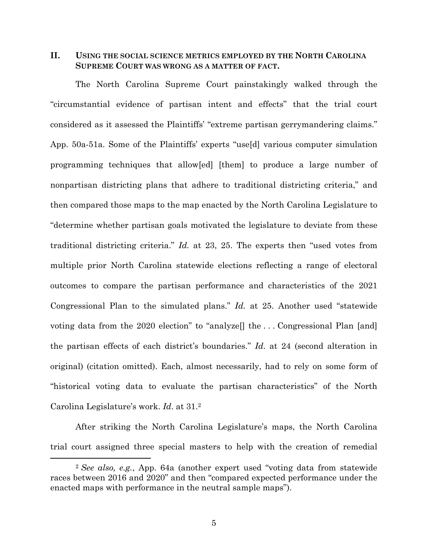## **II. USING THE SOCIAL SCIENCE METRICS EMPLOYED BY THE NORTH CAROLINA SUPREME COURT WAS WRONG AS A MATTER OF FACT.**

The North Carolina Supreme Court painstakingly walked through the "circumstantial evidence of partisan intent and effects" that the trial court considered as it assessed the Plaintiffs' "extreme partisan gerrymandering claims." App. 50a-51a. Some of the Plaintiffs' experts "use[d] various computer simulation programming techniques that allow[ed] [them] to produce a large number of nonpartisan districting plans that adhere to traditional districting criteria," and then compared those maps to the map enacted by the North Carolina Legislature to "determine whether partisan goals motivated the legislature to deviate from these traditional districting criteria." *Id.* at 23, 25. The experts then "used votes from multiple prior North Carolina statewide elections reflecting a range of electoral outcomes to compare the partisan performance and characteristics of the 2021 Congressional Plan to the simulated plans." *Id.* at 25. Another used "statewide voting data from the 2020 election" to "analyze $[]$  the ... Congressional Plan [and] the partisan effects of each district's boundaries." *Id*. at 24 (second alteration in original) (citation omitted). Each, almost necessarily, had to rely on some form of "historical voting data to evaluate the partisan characteristics" of the North Carolina Legislature's work. *Id*. at 31.2

After striking the North Carolina Legislature's maps, the North Carolina trial court assigned three special masters to help with the creation of remedial

<sup>2</sup> *See also, e.g.*, App. 64a (another expert used "voting data from statewide races between 2016 and 2020" and then "compared expected performance under the enacted maps with performance in the neutral sample maps").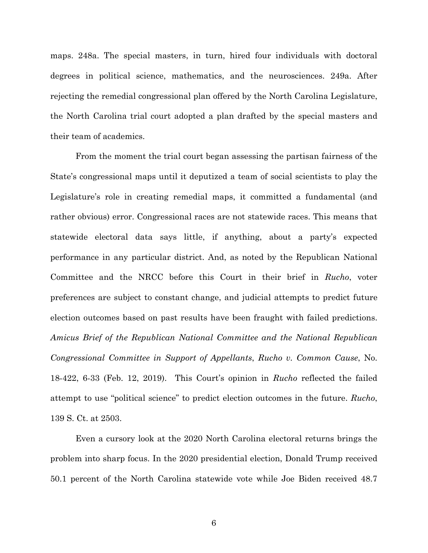maps. 248a. The special masters, in turn, hired four individuals with doctoral degrees in political science, mathematics, and the neurosciences. 249a. After rejecting the remedial congressional plan offered by the North Carolina Legislature, the North Carolina trial court adopted a plan drafted by the special masters and their team of academics.

From the moment the trial court began assessing the partisan fairness of the State's congressional maps until it deputized a team of social scientists to play the Legislature's role in creating remedial maps, it committed a fundamental (and rather obvious) error. Congressional races are not statewide races. This means that statewide electoral data says little, if anything, about a party's expected performance in any particular district. And, as noted by the Republican National Committee and the NRCC before this Court in their brief in *Rucho*, voter preferences are subject to constant change, and judicial attempts to predict future election outcomes based on past results have been fraught with failed predictions. *Amicus Brief of the Republican National Committee and the National Republican Congressional Committee in Support of Appellants*, *Rucho v. Common Cause*, No. 18-422, 6-33 (Feb. 12, 2019). This Court's opinion in *Rucho* reflected the failed attempt to use "political science" to predict election outcomes in the future. *Rucho*, 139 S. Ct. at 2503.

Even a cursory look at the 2020 North Carolina electoral returns brings the problem into sharp focus. In the 2020 presidential election, Donald Trump received 50.1 percent of the North Carolina statewide vote while Joe Biden received 48.7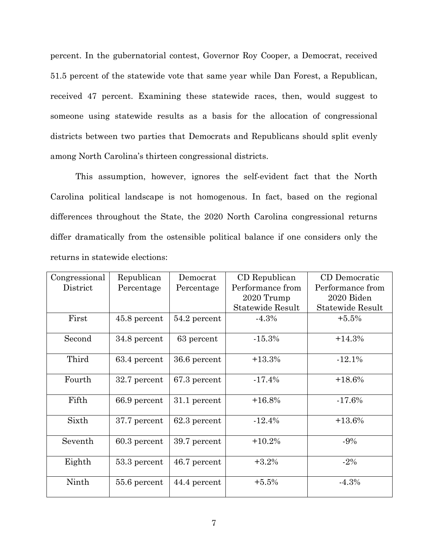percent. In the gubernatorial contest, Governor Roy Cooper, a Democrat, received 51.5 percent of the statewide vote that same year while Dan Forest, a Republican, received 47 percent. Examining these statewide races, then, would suggest to someone using statewide results as a basis for the allocation of congressional districts between two parties that Democrats and Republicans should split evenly among North Carolina's thirteen congressional districts.

This assumption, however, ignores the self-evident fact that the North Carolina political landscape is not homogenous. In fact, based on the regional differences throughout the State, the 2020 North Carolina congressional returns differ dramatically from the ostensible political balance if one considers only the returns in statewide elections:

| Congressional | Republican     | Democrat     | CD Republican           | CD Democratic           |
|---------------|----------------|--------------|-------------------------|-------------------------|
| District      | Percentage     | Percentage   | Performance from        | Performance from        |
|               |                |              | 2020 Trump              | 2020 Biden              |
|               |                |              | <b>Statewide Result</b> | <b>Statewide Result</b> |
| First         | 45.8 percent   | 54.2 percent | $-4.3%$                 | $+5.5%$                 |
| Second        | 34.8 percent   | 63 percent   | $-15.3%$                | $+14.3%$                |
| Third         | 63.4 percent   | 36.6 percent | $+13.3%$                | $-12.1%$                |
| Fourth        | 32.7 percent   | 67.3 percent | $-17.4%$                | $+18.6%$                |
| Fifth         | 66.9 percent   | 31.1 percent | $+16.8%$                | $-17.6%$                |
| Sixth         | 37.7 percent   | 62.3 percent | $-12.4%$                | $+13.6%$                |
| Seventh       | $60.3$ percent | 39.7 percent | $+10.2%$                | $-9\%$                  |
| Eighth        | 53.3 percent   | 46.7 percent | $+3.2%$                 | $-2\%$                  |
| Ninth         | 55.6 percent   | 44.4 percent | $+5.5%$                 | $-4.3%$                 |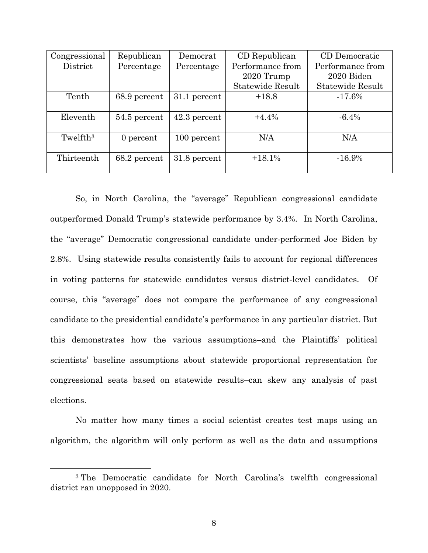| Congressional        | Republican   | Democrat       | CD Republican           | CD Democratic           |
|----------------------|--------------|----------------|-------------------------|-------------------------|
| District             | Percentage   | Percentage     | Performance from        | Performance from        |
|                      |              |                | 2020 Trump              | 2020 Biden              |
|                      |              |                | <b>Statewide Result</b> | <b>Statewide Result</b> |
| Tenth                | 68.9 percent | 31.1 percent   | $+18.8$                 | $-17.6%$                |
|                      |              |                |                         |                         |
| Eleventh             | 54.5 percent | $42.3$ percent | $+4.4%$                 | $-6.4\%$                |
|                      |              |                |                         |                         |
| Twelfth <sup>3</sup> | 0 percent    | 100 percent    | N/A                     | N/A                     |
|                      |              |                |                         |                         |
| Thirteenth           | 68.2 percent | 31.8 percent   | $+18.1%$                | $-16.9%$                |
|                      |              |                |                         |                         |

So, in North Carolina, the "average" Republican congressional candidate outperformed Donald Trump's statewide performance by 3.4%. In North Carolina, the "average" Democratic congressional candidate under-performed Joe Biden by 2.8%. Using statewide results consistently fails to account for regional differences in voting patterns for statewide candidates versus district-level candidates. Of course, this "average" does not compare the performance of any congressional candidate to the presidential candidate's performance in any particular district. But this demonstrates how the various assumptions–and the Plaintiffs' political scientists' baseline assumptions about statewide proportional representation for congressional seats based on statewide results–can skew any analysis of past elections.

No matter how many times a social scientist creates test maps using an algorithm, the algorithm will only perform as well as the data and assumptions

<sup>3</sup> The Democratic candidate for North Carolina's twelfth congressional district ran unopposed in 2020.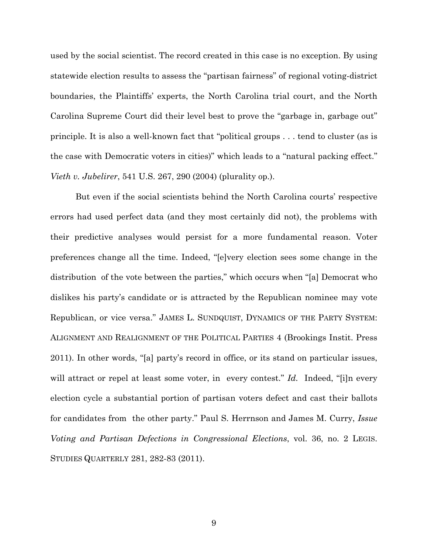used by the social scientist. The record created in this case is no exception. By using statewide election results to assess the "partisan fairness" of regional voting-district boundaries, the Plaintiffs' experts, the North Carolina trial court, and the North Carolina Supreme Court did their level best to prove the "garbage in, garbage out" principle. It is also a well-known fact that "political groups . . . tend to cluster (as is the case with Democratic voters in cities)" which leads to a "natural packing effect." *Vieth v. Jubelirer*, 541 U.S. 267, 290 (2004) (plurality op.).

But even if the social scientists behind the North Carolina courts' respective errors had used perfect data (and they most certainly did not), the problems with their predictive analyses would persist for a more fundamental reason. Voter preferences change all the time. Indeed, "[e]very election sees some change in the distribution of the vote between the parties," which occurs when "[a] Democrat who dislikes his party's candidate or is attracted by the Republican nominee may vote Republican, or vice versa." JAMES L. SUNDQUIST, DYNAMICS OF THE PARTY SYSTEM: ALIGNMENT AND REALIGNMENT OF THE POLITICAL PARTIES 4 (Brookings Instit. Press 2011). In other words, "[a] party's record in office, or its stand on particular issues, will attract or repel at least some voter, in every contest." *Id.* Indeed, "[i]n every election cycle a substantial portion of partisan voters defect and cast their ballots for candidates from the other party." Paul S. Herrnson and James M. Curry, *Issue Voting and Partisan Defections in Congressional Elections*, vol. 36, no. 2 LEGIS. STUDIES QUARTERLY 281, 282-83 (2011).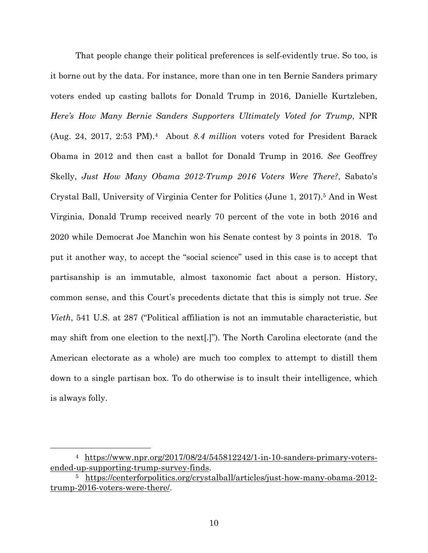That people change their political preferences is self-evidently true. So too, is it borne out by the data. For instance, more than one in ten Bernie Sanders primary voters ended up casting ballots for Donald Trump in 2016, Danielle Kurtzleben, *Here's How Many Bernie Sanders Supporters Ultimately Voted for Trump*, NPR (Aug. 24, 2017, 2:53 PM).4 About *8.4 million* voters voted for President Barack Obama in 2012 and then cast a ballot for Donald Trump in 2016. *See* Geoffrey Skelly, *Just How Many Obama 2012-Trump 2016 Voters Were There?*, Sabato's Crystal Ball, University of Virginia Center for Politics (June 1, 2017).5 And in West Virginia, Donald Trump received nearly 70 percent of the vote in both 2016 and 2020 while Democrat Joe Manchin won his Senate contest by 3 points in 2018. To put it another way, to accept the "social science" used in this case is to accept that partisanship is an immutable, almost taxonomic fact about a person. History, common sense, and this Court's precedents dictate that this is simply not true. *See Vieth*, 541 U.S. at 287 ("Political affiliation is not an immutable characteristic, but may shift from one election to the next[.]"). The North Carolina electorate (and the American electorate as a whole) are much too complex to attempt to distill them down to a single partisan box. To do otherwise is to insult their intelligence, which is always folly.

<sup>4</sup> https://www.npr.org/2017/08/24/545812242/1-in-10-sanders-primary-votersended-up-supporting-trump-survey-finds.

<sup>5</sup> https://centerforpolitics.org/crystalball/articles/just-how-many-obama-2012 trump-2016-voters-were-there/.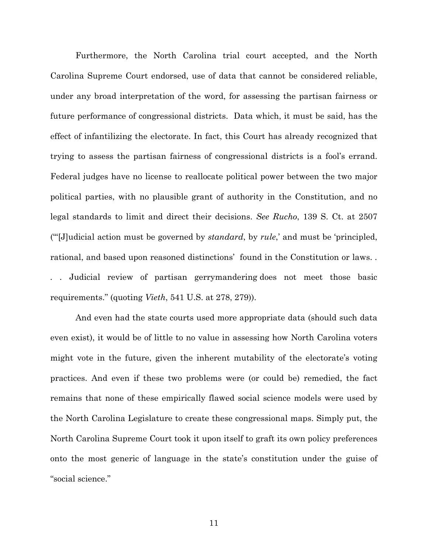Furthermore, the North Carolina trial court accepted, and the North Carolina Supreme Court endorsed, use of data that cannot be considered reliable, under any broad interpretation of the word, for assessing the partisan fairness or future performance of congressional districts. Data which, it must be said, has the effect of infantilizing the electorate. In fact, this Court has already recognized that trying to assess the partisan fairness of congressional districts is a fool's errand. Federal judges have no license to reallocate political power between the two major political parties, with no plausible grant of authority in the Constitution, and no legal standards to limit and direct their decisions. *See Rucho*, 139 S. Ct. at 2507 ("'[J]udicial action must be governed by *standard*, by *rule*,' and must be 'principled, rational, and based upon reasoned distinctions' found in the Constitution or laws. *.*  Judicial review of partisan gerrymandering does not meet those basic requirements." (quoting *Vieth*, 541 U.S. at 278, 279)).

And even had the state courts used more appropriate data (should such data even exist), it would be of little to no value in assessing how North Carolina voters might vote in the future, given the inherent mutability of the electorate's voting practices. And even if these two problems were (or could be) remedied, the fact remains that none of these empirically flawed social science models were used by the North Carolina Legislature to create these congressional maps. Simply put, the North Carolina Supreme Court took it upon itself to graft its own policy preferences onto the most generic of language in the state's constitution under the guise of "social science."